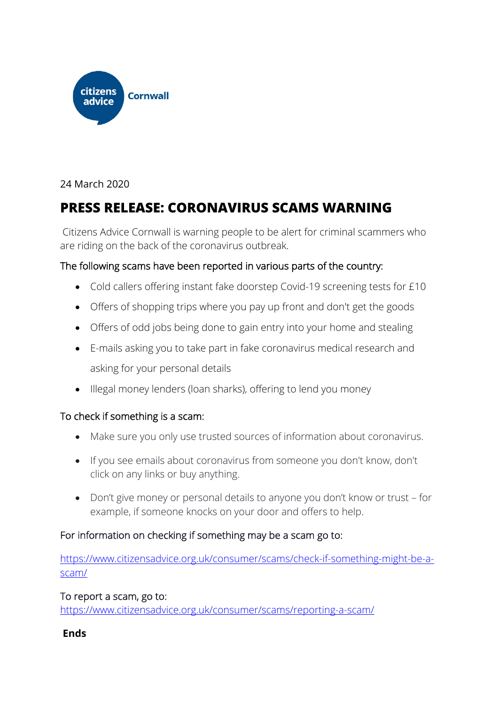

## 24 March 2020

# **PRESS RELEASE: CORONAVIRUS SCAMS WARNING**

Citizens Advice Cornwall is warning people to be alert for criminal scammers who are riding on the back of the coronavirus outbreak.

### The following scams have been reported in various parts of the country:

- Cold callers offering instant fake doorstep Covid-19 screening tests for £10
- Offers of shopping trips where you pay up front and don't get the goods
- Offers of odd jobs being done to gain entry into your home and stealing
- E-mails asking you to take part in fake coronavirus medical research and asking for your personal details
- Illegal money lenders (loan sharks), offering to lend you money

### To check if something is a scam:

- Make sure you only use trusted sources of information about coronavirus.
- If you see emails about coronavirus from someone you don't know, don't click on any links or buy anything.
- Don't give money or personal details to anyone you don't know or trust for example, if someone knocks on your door and offers to help.

### For information on checking if something may be a scam go to:

https://www.citizensadvice.org.uk/consumer/scams/check-if-something-might-be-ascam/

### To report a scam, go to:

https://www.citizensadvice.org.uk/consumer/scams/reporting-a-scam/

### **Ends**